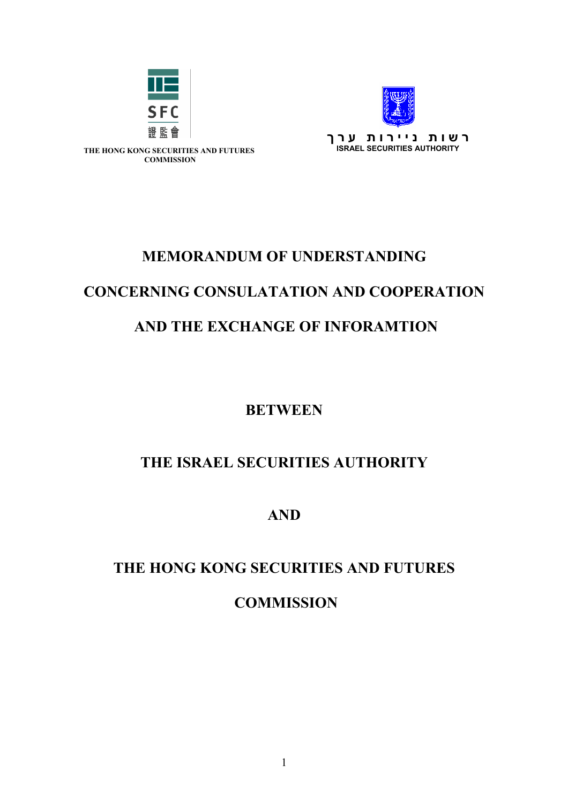



# **COMMISSION**

## **MEMORANDUM OF UNDERSTANDING**

## **CONCERNING CONSULATATION AND COOPERATION**

### **AND THE EXCHANGE OF INFORAMTION**

**BETWEEN** 

## **THE ISRAEL SECURITIES AUTHORITY**

**AND** 

**THE HONG KONG SECURITIES AND FUTURES** 

### **COMMISSION**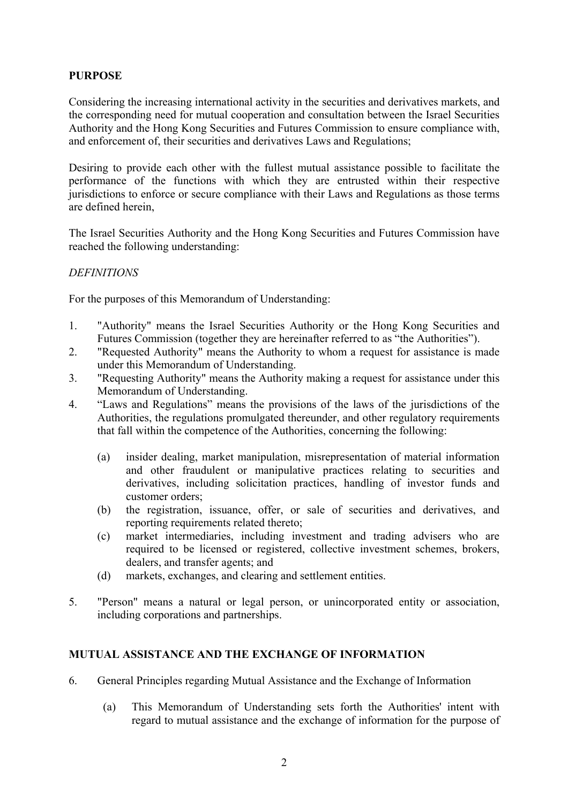#### **PURPOSE**

Considering the increasing international activity in the securities and derivatives markets, and the corresponding need for mutual cooperation and consultation between the Israel Securities Authority and the Hong Kong Securities and Futures Commission to ensure compliance with, and enforcement of, their securities and derivatives Laws and Regulations;

Desiring to provide each other with the fullest mutual assistance possible to facilitate the performance of the functions with which they are entrusted within their respective jurisdictions to enforce or secure compliance with their Laws and Regulations as those terms are defined herein,

The Israel Securities Authority and the Hong Kong Securities and Futures Commission have reached the following understanding:

#### *DEFINITIONS*

For the purposes of this Memorandum of Understanding:

- 1. "Authority" means the Israel Securities Authority or the Hong Kong Securities and Futures Commission (together they are hereinafter referred to as "the Authorities").
- 2. "Requested Authority" means the Authority to whom a request for assistance is made under this Memorandum of Understanding.
- 3. "Requesting Authority" means the Authority making a request for assistance under this Memorandum of Understanding.
- 4. "Laws and Regulations" means the provisions of the laws of the jurisdictions of the Authorities, the regulations promulgated thereunder, and other regulatory requirements that fall within the competence of the Authorities, concerning the following:
	- (a) insider dealing, market manipulation, misrepresentation of material information and other fraudulent or manipulative practices relating to securities and derivatives, including solicitation practices, handling of investor funds and customer orders;
	- (b) the registration, issuance, offer, or sale of securities and derivatives, and reporting requirements related thereto;
	- (c) market intermediaries, including investment and trading advisers who are required to be licensed or registered, collective investment schemes, brokers, dealers, and transfer agents; and
	- (d) markets, exchanges, and clearing and settlement entities.
- 5. "Person" means a natural or legal person, or unincorporated entity or association, including corporations and partnerships.

#### **MUTUAL ASSISTANCE AND THE EXCHANGE OF INFORMATION**

- 6. General Principles regarding Mutual Assistance and the Exchange of Information
	- (a) This Memorandum of Understanding sets forth the Authorities' intent with regard to mutual assistance and the exchange of information for the purpose of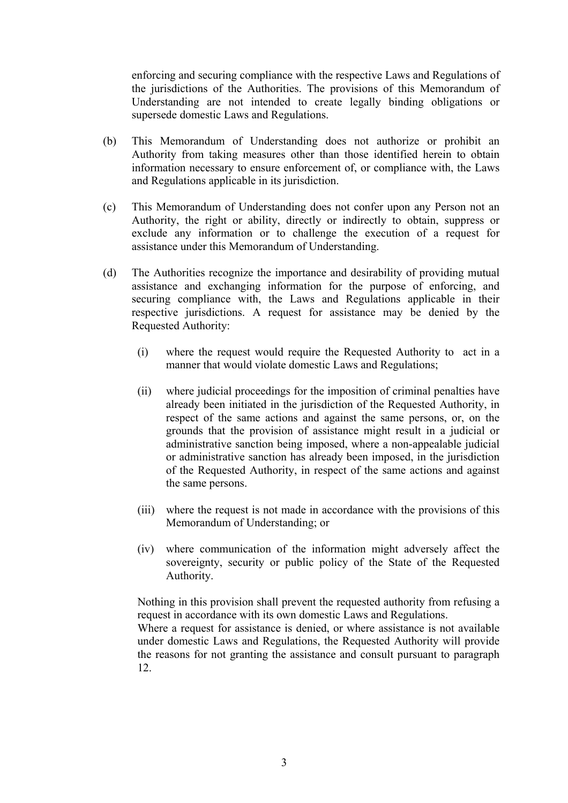enforcing and securing compliance with the respective Laws and Regulations of the jurisdictions of the Authorities. The provisions of this Memorandum of Understanding are not intended to create legally binding obligations or supersede domestic Laws and Regulations.

- (b) This Memorandum of Understanding does not authorize or prohibit an Authority from taking measures other than those identified herein to obtain information necessary to ensure enforcement of, or compliance with, the Laws and Regulations applicable in its jurisdiction.
- (c) This Memorandum of Understanding does not confer upon any Person not an Authority, the right or ability, directly or indirectly to obtain, suppress or exclude any information or to challenge the execution of a request for assistance under this Memorandum of Understanding.
- (d) The Authorities recognize the importance and desirability of providing mutual assistance and exchanging information for the purpose of enforcing, and securing compliance with, the Laws and Regulations applicable in their respective jurisdictions. A request for assistance may be denied by the Requested Authority:
	- (i) where the request would require the Requested Authority to act in a manner that would violate domestic Laws and Regulations;
	- (ii) where judicial proceedings for the imposition of criminal penalties have already been initiated in the jurisdiction of the Requested Authority, in respect of the same actions and against the same persons, or, on the grounds that the provision of assistance might result in a judicial or administrative sanction being imposed, where a non-appealable judicial or administrative sanction has already been imposed, in the jurisdiction of the Requested Authority, in respect of the same actions and against the same persons.
	- (iii) where the request is not made in accordance with the provisions of this Memorandum of Understanding; or
	- (iv) where communication of the information might adversely affect the sovereignty, security or public policy of the State of the Requested Authority.

Nothing in this provision shall prevent the requested authority from refusing a request in accordance with its own domestic Laws and Regulations.

Where a request for assistance is denied, or where assistance is not available under domestic Laws and Regulations, the Requested Authority will provide the reasons for not granting the assistance and consult pursuant to paragraph 12.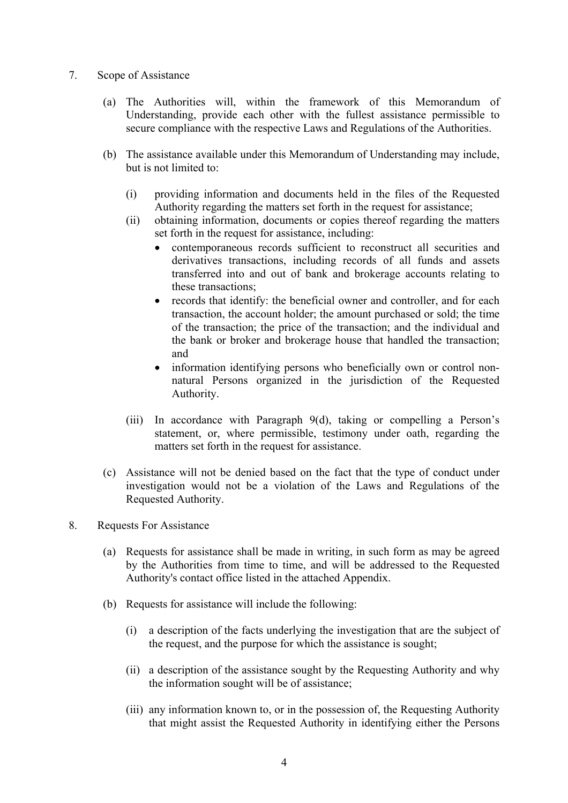- 7. Scope of Assistance
	- (a) The Authorities will, within the framework of this Memorandum of Understanding, provide each other with the fullest assistance permissible to secure compliance with the respective Laws and Regulations of the Authorities.
	- (b) The assistance available under this Memorandum of Understanding may include, but is not limited to:
		- (i) providing information and documents held in the files of the Requested Authority regarding the matters set forth in the request for assistance;
		- (ii) obtaining information, documents or copies thereof regarding the matters set forth in the request for assistance, including:
			- contemporaneous records sufficient to reconstruct all securities and derivatives transactions, including records of all funds and assets transferred into and out of bank and brokerage accounts relating to these transactions;
			- records that identify: the beneficial owner and controller, and for each transaction, the account holder; the amount purchased or sold; the time of the transaction; the price of the transaction; and the individual and the bank or broker and brokerage house that handled the transaction; and
			- information identifying persons who beneficially own or control nonnatural Persons organized in the jurisdiction of the Requested Authority.
		- (iii) In accordance with Paragraph 9(d), taking or compelling a Person's statement, or, where permissible, testimony under oath, regarding the matters set forth in the request for assistance.
	- (c) Assistance will not be denied based on the fact that the type of conduct under investigation would not be a violation of the Laws and Regulations of the Requested Authority.
- 8. Requests For Assistance
	- (a) Requests for assistance shall be made in writing, in such form as may be agreed by the Authorities from time to time, and will be addressed to the Requested Authority's contact office listed in the attached Appendix.
	- (b) Requests for assistance will include the following:
		- (i) a description of the facts underlying the investigation that are the subject of the request, and the purpose for which the assistance is sought;
		- (ii) a description of the assistance sought by the Requesting Authority and why the information sought will be of assistance;
		- (iii) any information known to, or in the possession of, the Requesting Authority that might assist the Requested Authority in identifying either the Persons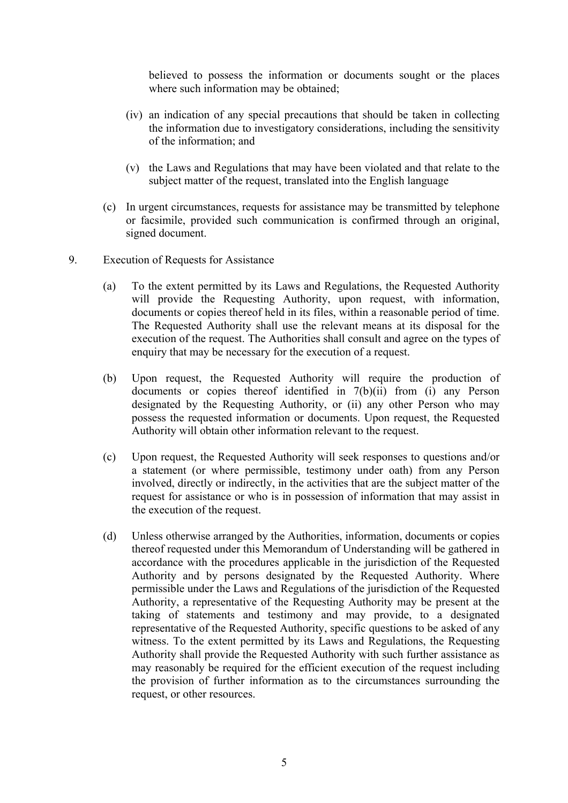believed to possess the information or documents sought or the places where such information may be obtained;

- (iv) an indication of any special precautions that should be taken in collecting the information due to investigatory considerations, including the sensitivity of the information; and
- (v) the Laws and Regulations that may have been violated and that relate to the subject matter of the request, translated into the English language
- (c) In urgent circumstances, requests for assistance may be transmitted by telephone or facsimile, provided such communication is confirmed through an original, signed document.
- 9. Execution of Requests for Assistance
	- (a) To the extent permitted by its Laws and Regulations, the Requested Authority will provide the Requesting Authority, upon request, with information, documents or copies thereof held in its files, within a reasonable period of time. The Requested Authority shall use the relevant means at its disposal for the execution of the request. The Authorities shall consult and agree on the types of enquiry that may be necessary for the execution of a request.
	- (b) Upon request, the Requested Authority will require the production of documents or copies thereof identified in 7(b)(ii) from (i) any Person designated by the Requesting Authority, or (ii) any other Person who may possess the requested information or documents. Upon request, the Requested Authority will obtain other information relevant to the request.
	- (c) Upon request, the Requested Authority will seek responses to questions and/or a statement (or where permissible, testimony under oath) from any Person involved, directly or indirectly, in the activities that are the subject matter of the request for assistance or who is in possession of information that may assist in the execution of the request.
	- (d) Unless otherwise arranged by the Authorities, information, documents or copies thereof requested under this Memorandum of Understanding will be gathered in accordance with the procedures applicable in the jurisdiction of the Requested Authority and by persons designated by the Requested Authority. Where permissible under the Laws and Regulations of the jurisdiction of the Requested Authority, a representative of the Requesting Authority may be present at the taking of statements and testimony and may provide, to a designated representative of the Requested Authority, specific questions to be asked of any witness. To the extent permitted by its Laws and Regulations, the Requesting Authority shall provide the Requested Authority with such further assistance as may reasonably be required for the efficient execution of the request including the provision of further information as to the circumstances surrounding the request, or other resources.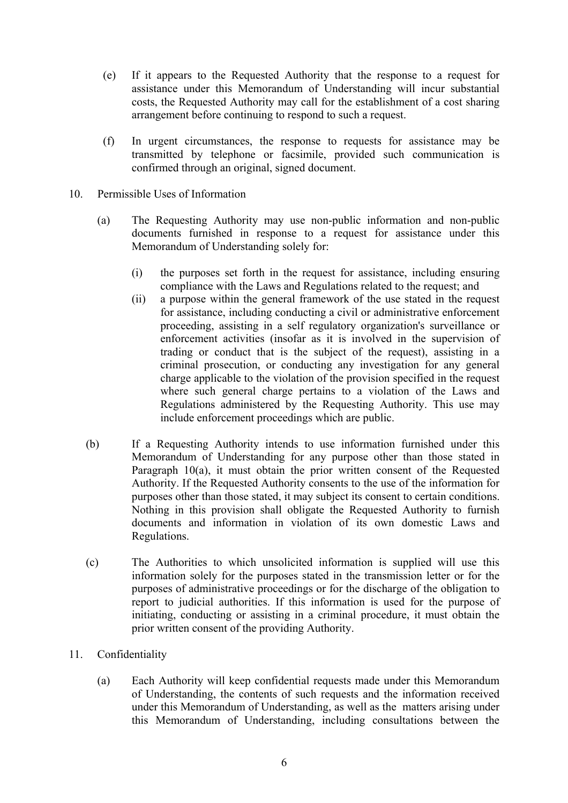- (e) If it appears to the Requested Authority that the response to a request for assistance under this Memorandum of Understanding will incur substantial costs, the Requested Authority may call for the establishment of a cost sharing arrangement before continuing to respond to such a request.
- (f) In urgent circumstances, the response to requests for assistance may be transmitted by telephone or facsimile, provided such communication is confirmed through an original, signed document.
- 10. Permissible Uses of Information
	- (a) The Requesting Authority may use non-public information and non-public documents furnished in response to a request for assistance under this Memorandum of Understanding solely for:
		- (i) the purposes set forth in the request for assistance, including ensuring compliance with the Laws and Regulations related to the request; and
		- (ii) a purpose within the general framework of the use stated in the request for assistance, including conducting a civil or administrative enforcement proceeding, assisting in a self regulatory organization's surveillance or enforcement activities (insofar as it is involved in the supervision of trading or conduct that is the subject of the request), assisting in a criminal prosecution, or conducting any investigation for any general charge applicable to the violation of the provision specified in the request where such general charge pertains to a violation of the Laws and Regulations administered by the Requesting Authority. This use may include enforcement proceedings which are public.
	- (b) If a Requesting Authority intends to use information furnished under this Memorandum of Understanding for any purpose other than those stated in Paragraph 10(a), it must obtain the prior written consent of the Requested Authority. If the Requested Authority consents to the use of the information for purposes other than those stated, it may subject its consent to certain conditions. Nothing in this provision shall obligate the Requested Authority to furnish documents and information in violation of its own domestic Laws and Regulations.
	- (c) The Authorities to which unsolicited information is supplied will use this information solely for the purposes stated in the transmission letter or for the purposes of administrative proceedings or for the discharge of the obligation to report to judicial authorities. If this information is used for the purpose of initiating, conducting or assisting in a criminal procedure, it must obtain the prior written consent of the providing Authority.
- 11. Confidentiality
	- (a) Each Authority will keep confidential requests made under this Memorandum of Understanding, the contents of such requests and the information received under this Memorandum of Understanding, as well as the matters arising under this Memorandum of Understanding, including consultations between the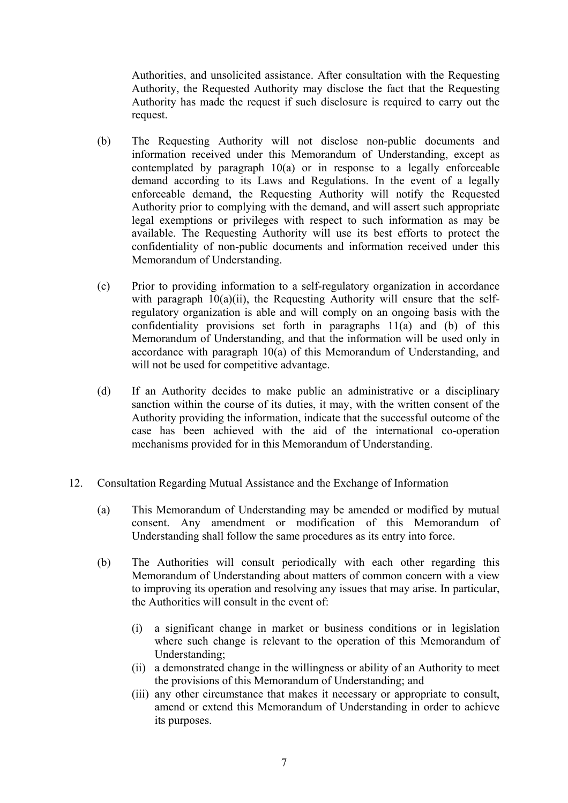Authorities, and unsolicited assistance. After consultation with the Requesting Authority, the Requested Authority may disclose the fact that the Requesting Authority has made the request if such disclosure is required to carry out the request.

- (b) The Requesting Authority will not disclose non-public documents and information received under this Memorandum of Understanding, except as contemplated by paragraph 10(a) or in response to a legally enforceable demand according to its Laws and Regulations. In the event of a legally enforceable demand, the Requesting Authority will notify the Requested Authority prior to complying with the demand, and will assert such appropriate legal exemptions or privileges with respect to such information as may be available. The Requesting Authority will use its best efforts to protect the confidentiality of non-public documents and information received under this Memorandum of Understanding.
- (c) Prior to providing information to a self-regulatory organization in accordance with paragraph  $10(a)(ii)$ , the Requesting Authority will ensure that the selfregulatory organization is able and will comply on an ongoing basis with the confidentiality provisions set forth in paragraphs 11(a) and (b) of this Memorandum of Understanding, and that the information will be used only in accordance with paragraph 10(a) of this Memorandum of Understanding, and will not be used for competitive advantage.
- (d) If an Authority decides to make public an administrative or a disciplinary sanction within the course of its duties, it may, with the written consent of the Authority providing the information, indicate that the successful outcome of the case has been achieved with the aid of the international co-operation mechanisms provided for in this Memorandum of Understanding.
- 12. Consultation Regarding Mutual Assistance and the Exchange of Information
	- (a) This Memorandum of Understanding may be amended or modified by mutual consent. Any amendment or modification of this Memorandum of Understanding shall follow the same procedures as its entry into force.
	- (b) The Authorities will consult periodically with each other regarding this Memorandum of Understanding about matters of common concern with a view to improving its operation and resolving any issues that may arise. In particular, the Authorities will consult in the event of:
		- (i) a significant change in market or business conditions or in legislation where such change is relevant to the operation of this Memorandum of Understanding;
		- (ii) a demonstrated change in the willingness or ability of an Authority to meet the provisions of this Memorandum of Understanding; and
		- (iii) any other circumstance that makes it necessary or appropriate to consult, amend or extend this Memorandum of Understanding in order to achieve its purposes.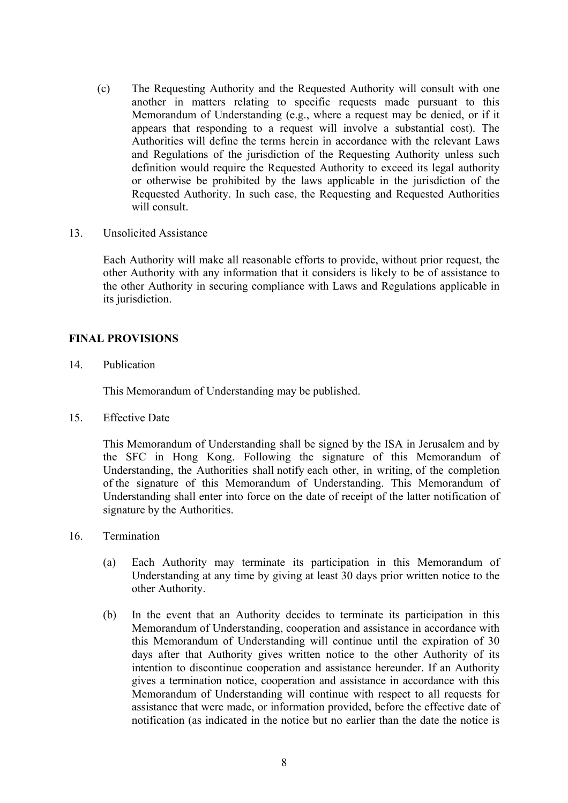- (c) The Requesting Authority and the Requested Authority will consult with one another in matters relating to specific requests made pursuant to this Memorandum of Understanding (e.g., where a request may be denied, or if it appears that responding to a request will involve a substantial cost). The Authorities will define the terms herein in accordance with the relevant Laws and Regulations of the jurisdiction of the Requesting Authority unless such definition would require the Requested Authority to exceed its legal authority or otherwise be prohibited by the laws applicable in the jurisdiction of the Requested Authority. In such case, the Requesting and Requested Authorities will consult.
- 13. Unsolicited Assistance

Each Authority will make all reasonable efforts to provide, without prior request, the other Authority with any information that it considers is likely to be of assistance to the other Authority in securing compliance with Laws and Regulations applicable in its jurisdiction.

#### **FINAL PROVISIONS**

14. Publication

This Memorandum of Understanding may be published.

15. Effective Date

 This Memorandum of Understanding shall be signed by the ISA in Jerusalem and by the SFC in Hong Kong. Following the signature of this Memorandum of Understanding, the Authorities shall notify each other, in writing, of the completion of the signature of this Memorandum of Understanding. This Memorandum of Understanding shall enter into force on the date of receipt of the latter notification of signature by the Authorities.

- 16. Termination
	- (a) Each Authority may terminate its participation in this Memorandum of Understanding at any time by giving at least 30 days prior written notice to the other Authority.
	- (b) In the event that an Authority decides to terminate its participation in this Memorandum of Understanding, cooperation and assistance in accordance with this Memorandum of Understanding will continue until the expiration of 30 days after that Authority gives written notice to the other Authority of its intention to discontinue cooperation and assistance hereunder. If an Authority gives a termination notice, cooperation and assistance in accordance with this Memorandum of Understanding will continue with respect to all requests for assistance that were made, or information provided, before the effective date of notification (as indicated in the notice but no earlier than the date the notice is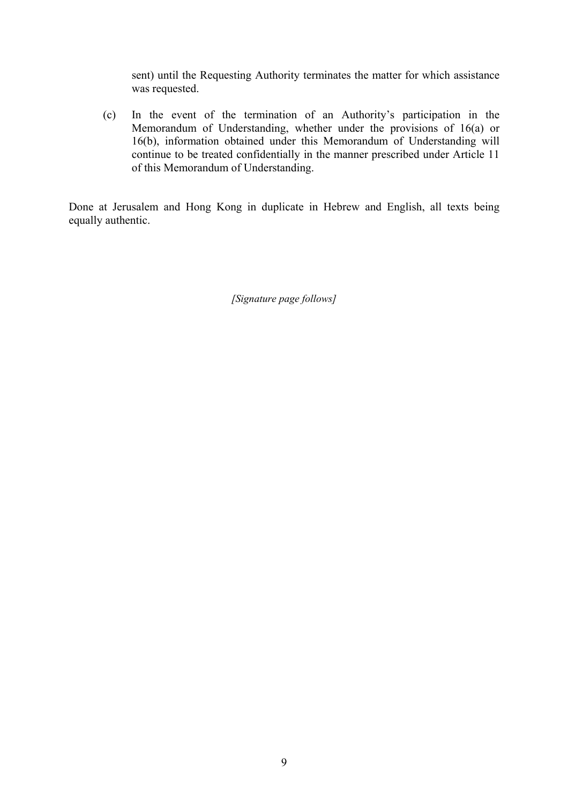sent) until the Requesting Authority terminates the matter for which assistance was requested.

(c) In the event of the termination of an Authority's participation in the Memorandum of Understanding, whether under the provisions of 16(a) or 16(b), information obtained under this Memorandum of Understanding will continue to be treated confidentially in the manner prescribed under Article 11 of this Memorandum of Understanding.

Done at Jerusalem and Hong Kong in duplicate in Hebrew and English, all texts being equally authentic.

*[Signature page follows]*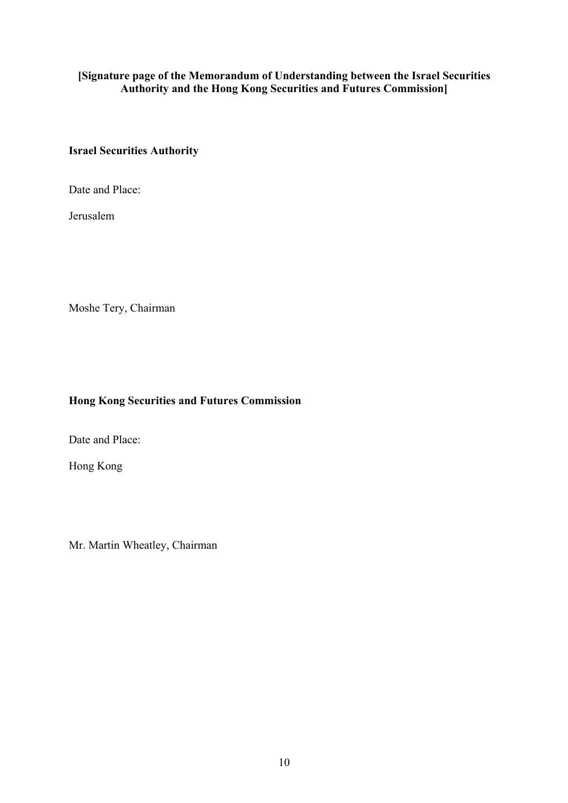#### **[Signature page of the Memorandum of Understanding between the Israel Securities Authority and the Hong Kong Securities and Futures Commission]**

#### **Israel Securities Authority**

Date and Place:

Jerusalem

Moshe Tery, Chairman

#### **Hong Kong Securities and Futures Commission**

Date and Place:

Hong Kong

Mr. Martin Wheatley, Chairman